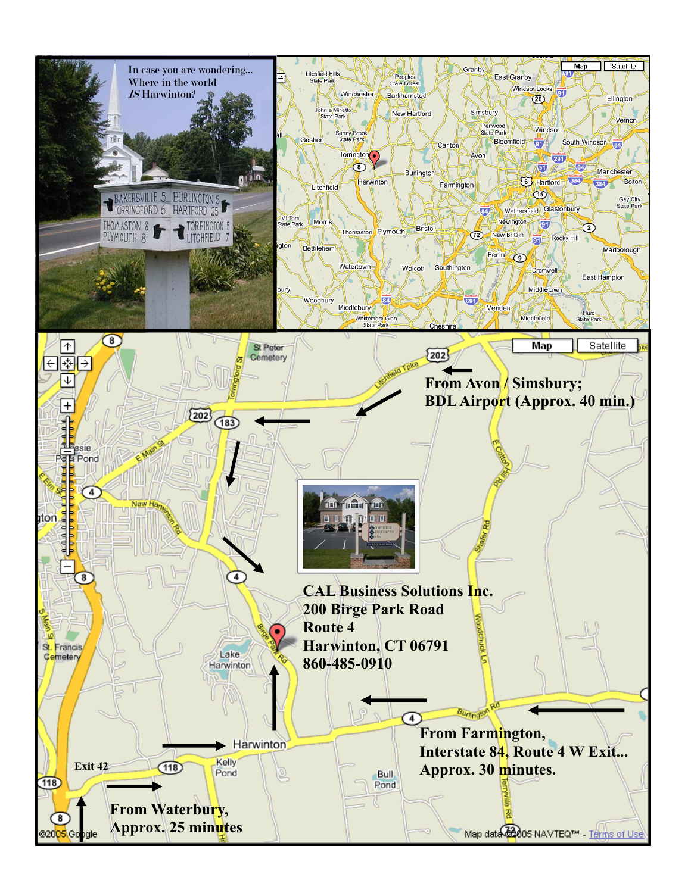